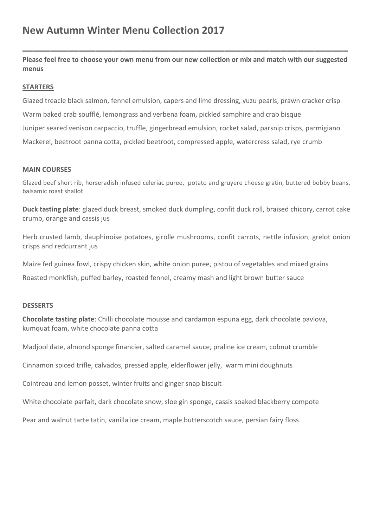**Please feel free to choose your own menu from our new collection or mix and match with our suggested menus**

**\_\_\_\_\_\_\_\_\_\_\_\_\_\_\_\_\_\_\_\_\_\_\_\_\_\_\_\_\_\_\_\_\_\_\_\_\_\_\_\_\_\_\_\_\_\_\_\_\_\_\_\_\_\_\_\_\_\_**

# **STARTERS**

Glazed treacle black salmon, fennel emulsion, capers and lime dressing, yuzu pearls, prawn cracker crisp Warm baked crab soufflé, lemongrass and verbena foam, pickled samphire and crab bisque Juniper seared venison carpaccio, truffle, gingerbread emulsion, rocket salad, parsnip crisps, parmigiano Mackerel, beetroot panna cotta, pickled beetroot, compressed apple, watercress salad, rye crumb

## **MAIN COURSES**

Glazed beef short rib, horseradish infused celeriac puree, potato and gruvere cheese gratin, buttered bobby beans, balsamic roast shallot

**Duck tasting plate**: glazed duck breast, smoked duck dumpling, confit duck roll, braised chicory, carrot cake crumb, orange and cassis jus

Herb crusted lamb, dauphinoise potatoes, girolle mushrooms, confit carrots, nettle infusion, grelot onion crisps and redcurrant jus

Maize fed guinea fowl, crispy chicken skin, white onion puree, pistou of vegetables and mixed grains

Roasted monkfish, puffed barley, roasted fennel, creamy mash and light brown butter sauce

## **DESSERTS**

**Chocolate tasting plate**: Chilli chocolate mousse and cardamon espuna egg, dark chocolate pavlova, kumquat foam, white chocolate panna cotta

Madjool date, almond sponge financier, salted caramel sauce, praline ice cream, cobnut crumble

Cinnamon spiced trifle, calvados, pressed apple, elderflower jelly, warm mini doughnuts

Cointreau and lemon posset, winter fruits and ginger snap biscuit

White chocolate parfait, dark chocolate snow, sloe gin sponge, cassis soaked blackberry compote

Pear and walnut tarte tatin, vanilla ice cream, maple butterscotch sauce, persian fairy floss